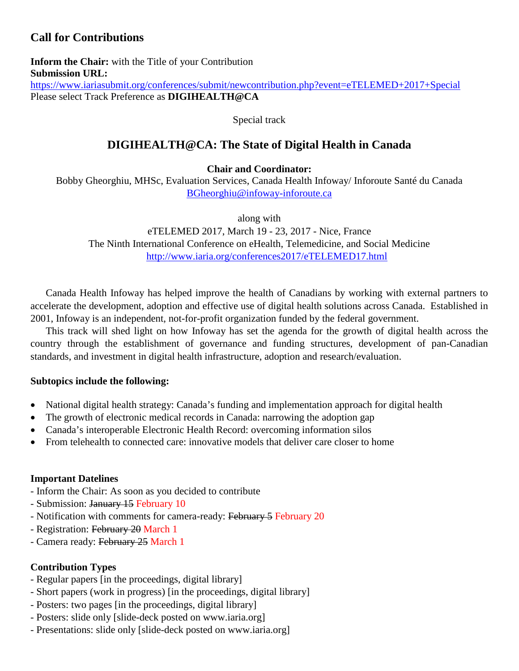# **Call for Contributions**

**Inform the Chair:** with the Title of your Contribution **Submission URL:** <https://www.iariasubmit.org/conferences/submit/newcontribution.php?event=eTELEMED+2017+Special> Please select Track Preference as **DIGIHEALTH@CA**

Special track

# **DIGIHEALTH@CA: The State of Digital Health in Canada**

**Chair and Coordinator:**

Bobby Gheorghiu, MHSc, Evaluation Services, Canada Health Infoway/ Inforoute Santé du Canada [BGheorghiu@infoway-inforoute.ca](mailto:BGheorghiu@infoway-inforoute.ca)

along with

eTELEMED 2017, March 19 - 23, 2017 - Nice, France The Ninth International Conference on eHealth, Telemedicine, and Social Medicine <http://www.iaria.org/conferences2017/eTELEMED17.html>

Canada Health Infoway has helped improve the health of Canadians by working with external partners to accelerate the development, adoption and effective use of digital health solutions across Canada. Established in 2001, Infoway is an independent, not-for-profit organization funded by the federal government.

This track will shed light on how Infoway has set the agenda for the growth of digital health across the country through the establishment of governance and funding structures, development of pan-Canadian standards, and investment in digital health infrastructure, adoption and research/evaluation.

#### **Subtopics include the following:**

- National digital health strategy: Canada's funding and implementation approach for digital health
- The growth of electronic medical records in Canada: narrowing the adoption gap
- Canada's interoperable Electronic Health Record: overcoming information silos
- From telehealth to connected care: innovative models that deliver care closer to home

## **Important Datelines**

- Inform the Chair: As soon as you decided to contribute
- Submission: January 15 February 10
- Notification with comments for camera-ready: February 5 February 20
- Registration: February 20 March 1
- Camera ready: February 25 March 1

## **Contribution Types**

- Regular papers [in the proceedings, digital library]
- Short papers (work in progress) [in the proceedings, digital library]
- Posters: two pages [in the proceedings, digital library]
- Posters: slide only [slide-deck posted on www.iaria.org]
- Presentations: slide only [slide-deck posted on www.iaria.org]